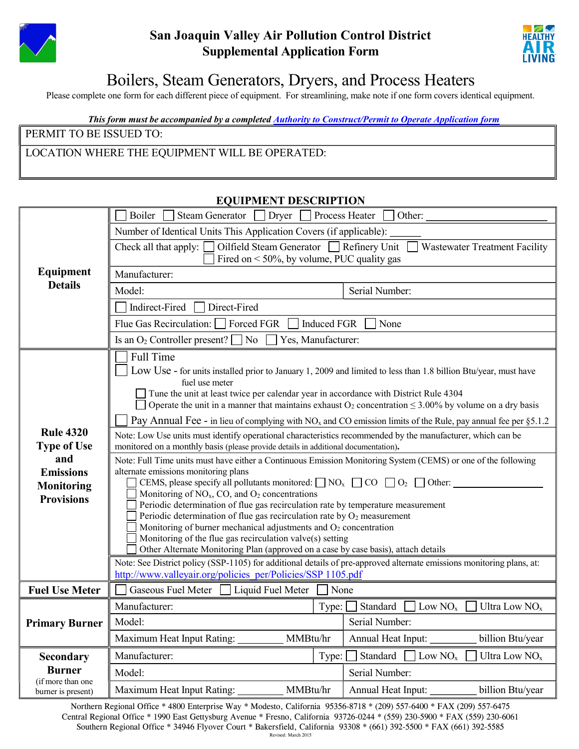

## San Joaquin Valley Air Pollution Control District Supplemental Application Form



# Boilers, Steam Generators, Dryers, and Process Heaters

Please complete one form for each different piece of equipment. For streamlining, make note if one form covers identical equipment.

#### This form must be accompanied by a complete[d Authority to Construct/Permit to Operate Application form](http://www.valleyair.org/busind/pto/ptoforms/1ptoformidx.htm)

PERMIT TO BE ISSUED TO:

#### LOCATION WHERE THE EQUIPMENT WILL BE OPERATED:

| <b>Equipment</b><br><b>Details</b>                                                                          | Boiler<br>Dryer [<br>Process Heater<br>Steam Generator<br>Other:                                                                                                                                                                                                                                                                                                                                                                                                                                                                                                                                                                                                                                                                                                                                                                                                                                                                                                                                                                                                                                                                                                                                                                                                                                                                                                                                                                            |                                                  |  |  |  |
|-------------------------------------------------------------------------------------------------------------|---------------------------------------------------------------------------------------------------------------------------------------------------------------------------------------------------------------------------------------------------------------------------------------------------------------------------------------------------------------------------------------------------------------------------------------------------------------------------------------------------------------------------------------------------------------------------------------------------------------------------------------------------------------------------------------------------------------------------------------------------------------------------------------------------------------------------------------------------------------------------------------------------------------------------------------------------------------------------------------------------------------------------------------------------------------------------------------------------------------------------------------------------------------------------------------------------------------------------------------------------------------------------------------------------------------------------------------------------------------------------------------------------------------------------------------------|--------------------------------------------------|--|--|--|
|                                                                                                             | Number of Identical Units This Application Covers (if applicable):                                                                                                                                                                                                                                                                                                                                                                                                                                                                                                                                                                                                                                                                                                                                                                                                                                                                                                                                                                                                                                                                                                                                                                                                                                                                                                                                                                          |                                                  |  |  |  |
|                                                                                                             | Oilfield Steam Generator Refinery Unit<br>Wastewater Treatment Facility<br>Check all that apply:<br>Fired on $\leq 50\%$ , by volume, PUC quality gas                                                                                                                                                                                                                                                                                                                                                                                                                                                                                                                                                                                                                                                                                                                                                                                                                                                                                                                                                                                                                                                                                                                                                                                                                                                                                       |                                                  |  |  |  |
|                                                                                                             | Manufacturer:                                                                                                                                                                                                                                                                                                                                                                                                                                                                                                                                                                                                                                                                                                                                                                                                                                                                                                                                                                                                                                                                                                                                                                                                                                                                                                                                                                                                                               |                                                  |  |  |  |
|                                                                                                             | Model:<br>Serial Number:                                                                                                                                                                                                                                                                                                                                                                                                                                                                                                                                                                                                                                                                                                                                                                                                                                                                                                                                                                                                                                                                                                                                                                                                                                                                                                                                                                                                                    |                                                  |  |  |  |
|                                                                                                             | Indirect-Fired<br>Direct-Fired                                                                                                                                                                                                                                                                                                                                                                                                                                                                                                                                                                                                                                                                                                                                                                                                                                                                                                                                                                                                                                                                                                                                                                                                                                                                                                                                                                                                              |                                                  |  |  |  |
|                                                                                                             | Forced FGR<br>Flue Gas Recirculation:<br><b>Induced FGR</b><br>None                                                                                                                                                                                                                                                                                                                                                                                                                                                                                                                                                                                                                                                                                                                                                                                                                                                                                                                                                                                                                                                                                                                                                                                                                                                                                                                                                                         |                                                  |  |  |  |
|                                                                                                             | Is an $O_2$ Controller present? $\Box$ No<br>Yes, Manufacturer:                                                                                                                                                                                                                                                                                                                                                                                                                                                                                                                                                                                                                                                                                                                                                                                                                                                                                                                                                                                                                                                                                                                                                                                                                                                                                                                                                                             |                                                  |  |  |  |
| <b>Rule 4320</b><br><b>Type of Use</b><br>and<br><b>Emissions</b><br><b>Monitoring</b><br><b>Provisions</b> | <b>Full Time</b><br>Low Use - for units installed prior to January 1, 2009 and limited to less than 1.8 billion Btu/year, must have<br>fuel use meter<br>Tune the unit at least twice per calendar year in accordance with District Rule 4304<br>Operate the unit in a manner that maintains exhaust $O_2$ concentration $\leq 3.00\%$ by volume on a dry basis<br>Pay Annual Fee - in lieu of complying with $NOx$ and CO emission limits of the Rule, pay annual fee per §5.1.2<br>Note: Low Use units must identify operational characteristics recommended by the manufacturer, which can be<br>monitored on a monthly basis (please provide details in additional documentation).<br>Note: Full Time units must have either a Continuous Emission Monitoring System (CEMS) or one of the following<br>alternate emissions monitoring plans<br>CEMS, please specify all pollutants monitored: $\Box$ NO <sub>x</sub> $\Box$ CO $\Box$ O <sub>2</sub> $\Box$ Other:<br>Monitoring of NO <sub>x</sub> , CO, and O <sub>2</sub> concentrations<br>Periodic determination of flue gas recirculation rate by temperature measurement<br>Periodic determination of flue gas recirculation rate by $O_2$ measurement<br>Monitoring of burner mechanical adjustments and $O_2$ concentration<br>Monitoring of the flue gas recirculation valve(s) setting<br>Other Alternate Monitoring Plan (approved on a case by case basis), attach details |                                                  |  |  |  |
|                                                                                                             | Note: See District policy (SSP-1105) for additional details of pre-approved alternate emissions monitoring plans, at:<br>http://www.valleyair.org/policies_per/Policies/SSP 1105.pdf                                                                                                                                                                                                                                                                                                                                                                                                                                                                                                                                                                                                                                                                                                                                                                                                                                                                                                                                                                                                                                                                                                                                                                                                                                                        |                                                  |  |  |  |
| <b>Fuel Use Meter</b>                                                                                       | Gaseous Fuel Meter<br>Liquid Fuel Meter<br>None                                                                                                                                                                                                                                                                                                                                                                                                                                                                                                                                                                                                                                                                                                                                                                                                                                                                                                                                                                                                                                                                                                                                                                                                                                                                                                                                                                                             |                                                  |  |  |  |
|                                                                                                             | Manufacturer:<br>Type:                                                                                                                                                                                                                                                                                                                                                                                                                                                                                                                                                                                                                                                                                                                                                                                                                                                                                                                                                                                                                                                                                                                                                                                                                                                                                                                                                                                                                      | Standard<br>Low $NOx$<br>Ultra Low $NOx$         |  |  |  |
| <b>Primary Burner</b>                                                                                       | Model:                                                                                                                                                                                                                                                                                                                                                                                                                                                                                                                                                                                                                                                                                                                                                                                                                                                                                                                                                                                                                                                                                                                                                                                                                                                                                                                                                                                                                                      | Serial Number:                                   |  |  |  |
|                                                                                                             | MMBtu/hr<br>Maximum Heat Input Rating:                                                                                                                                                                                                                                                                                                                                                                                                                                                                                                                                                                                                                                                                                                                                                                                                                                                                                                                                                                                                                                                                                                                                                                                                                                                                                                                                                                                                      | billion Btu/year<br>Annual Heat Input: _________ |  |  |  |
| Secondary                                                                                                   | Manufacturer:<br>Type:                                                                                                                                                                                                                                                                                                                                                                                                                                                                                                                                                                                                                                                                                                                                                                                                                                                                                                                                                                                                                                                                                                                                                                                                                                                                                                                                                                                                                      | Ultra Low $NOx$<br>Standard<br>Low $NOx$         |  |  |  |
| <b>Burner</b>                                                                                               | Model:                                                                                                                                                                                                                                                                                                                                                                                                                                                                                                                                                                                                                                                                                                                                                                                                                                                                                                                                                                                                                                                                                                                                                                                                                                                                                                                                                                                                                                      | Serial Number:                                   |  |  |  |
| (if more than one<br>burner is present)                                                                     | Maximum Heat Input Rating:<br>MMBtu/hr                                                                                                                                                                                                                                                                                                                                                                                                                                                                                                                                                                                                                                                                                                                                                                                                                                                                                                                                                                                                                                                                                                                                                                                                                                                                                                                                                                                                      | Annual Heat Input:<br>billion Btu/year           |  |  |  |

Northern Regional Office \* 4800 Enterprise Way \* Modesto, California 95356-8718 \* (209) 557-6400 \* FAX (209) 557-6475 Central Regional Office \* 1990 East Gettysburg Avenue \* Fresno, California 93726-0244 \* (559) 230-5900 \* FAX (559) 230-6061 Southern Regional Office \* 34946 Flyover Court \* Bakersfield, California 93308 \* (661) 392-5500 \* FAX (661) 392-5585 Revised: March 2015

#### EQUIPMENT DESCRIPTION